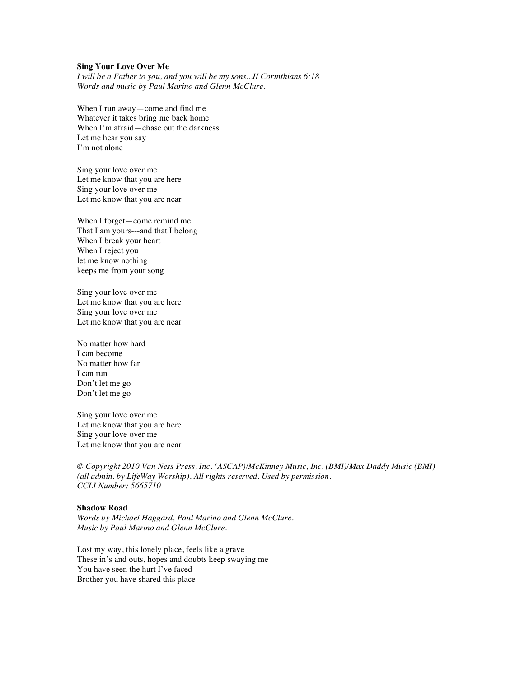## **Sing Your Love Over Me**

*I will be a Father to you, and you will be my sons...II Corinthians 6:18 Words and music by Paul Marino and Glenn McClure.*

When I run away—come and find me Whatever it takes bring me back home When I'm afraid—chase out the darkness Let me hear you say I'm not alone

Sing your love over me Let me know that you are here Sing your love over me Let me know that you are near

When I forget—come remind me That I am yours---and that I belong When I break your heart When I reject you let me know nothing keeps me from your song

Sing your love over me Let me know that you are here Sing your love over me Let me know that you are near

No matter how hard I can become No matter how far I can run Don't let me go Don't let me go

Sing your love over me Let me know that you are here Sing your love over me Let me know that you are near

*© Copyright 2010 Van Ness Press, Inc. (ASCAP)/McKinney Music, Inc. (BMI)/Max Daddy Music (BMI) (all admin. by LifeWay Worship). All rights reserved. Used by permission. CCLI Number: 5665710*

# **Shadow Road**

*Words by Michael Haggard, Paul Marino and Glenn McClure. Music by Paul Marino and Glenn McClure.*

Lost my way, this lonely place, feels like a grave These in's and outs, hopes and doubts keep swaying me You have seen the hurt I've faced Brother you have shared this place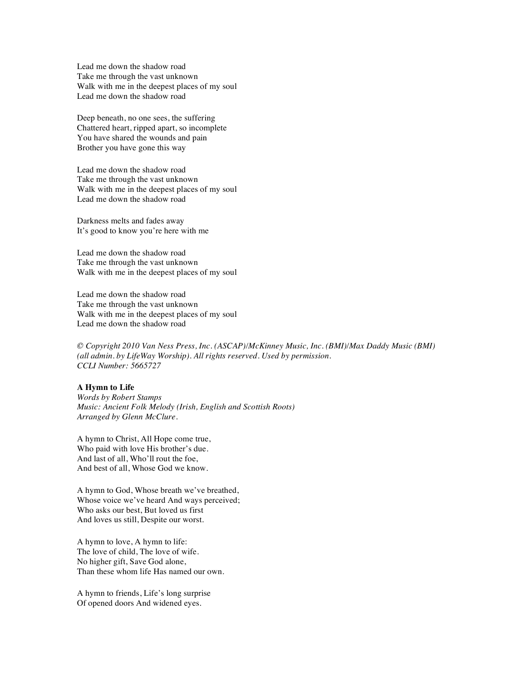Lead me down the shadow road Take me through the vast unknown Walk with me in the deepest places of my soul Lead me down the shadow road

Deep beneath, no one sees, the suffering Chattered heart, ripped apart, so incomplete You have shared the wounds and pain Brother you have gone this way

Lead me down the shadow road Take me through the vast unknown Walk with me in the deepest places of my soul Lead me down the shadow road

Darkness melts and fades away It's good to know you're here with me

Lead me down the shadow road Take me through the vast unknown Walk with me in the deepest places of my soul

Lead me down the shadow road Take me through the vast unknown Walk with me in the deepest places of my soul Lead me down the shadow road

*© Copyright 2010 Van Ness Press, Inc. (ASCAP)/McKinney Music, Inc. (BMI)/Max Daddy Music (BMI) (all admin. by LifeWay Worship). All rights reserved. Used by permission. CCLI Number: 5665727*

## **A Hymn to Life**

*Words by Robert Stamps Music: Ancient Folk Melody (Irish, English and Scottish Roots) Arranged by Glenn McClure.*

A hymn to Christ, All Hope come true, Who paid with love His brother's due. And last of all, Who'll rout the foe, And best of all, Whose God we know.

A hymn to God, Whose breath we've breathed, Whose voice we've heard And ways perceived; Who asks our best, But loved us first And loves us still, Despite our worst.

A hymn to love, A hymn to life: The love of child, The love of wife. No higher gift, Save God alone, Than these whom life Has named our own.

A hymn to friends, Life's long surprise Of opened doors And widened eyes.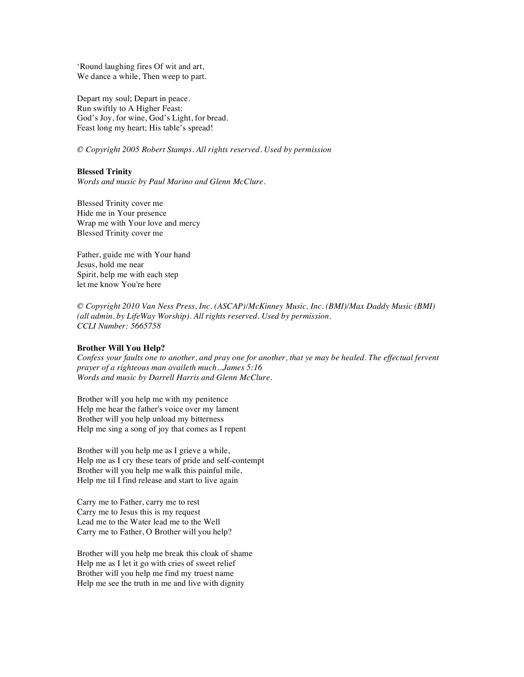'Round laughing fires Of wit and art, We dance a while, Then weep to part.

Depart my soul; Depart in peace. Run swiftly to A Higher Feast: God's Joy, for wine, God's Light, for bread. Feast long my heart; His table's spread!

*© Copyright 2005 Robert Stamps. All rights reserved. Used by permission*

## **Blessed Trinity**

*Words and music by Paul Marino and Glenn McClure.*

Blessed Trinity cover me Hide me in Your presence Wrap me with Your love and mercy Blessed Trinity cover me

Father, guide me with Your hand Jesus, hold me near Spirit, help me with each step let me know You're here

*© Copyright 2010 Van Ness Press, Inc. (ASCAP)/McKinney Music, Inc. (BMI)/Max Daddy Music (BMI) (all admin. by LifeWay Worship). All rights reserved. Used by permission. CCLI Number: 5665758*

# **Brother Will You Help?**

*Confess your faults one to another, and pray one for another, that ye may be healed. The effectual fervent prayer of a righteous man availeth much...James 5:16 Words and music by Darrell Harris and Glenn McClure.*

Brother will you help me with my penitence Help me hear the father's voice over my lament Brother will you help unload my bitterness Help me sing a song of joy that comes as I repent

Brother will you help me as I grieve a while, Help me as I cry these tears of pride and self-contempt Brother will you help me walk this painful mile, Help me til I find release and start to live again

Carry me to Father, carry me to rest Carry me to Jesus this is my request Lead me to the Water lead me to the Well Carry me to Father, O Brother will you help?

Brother will you help me break this cloak of shame Help me as I let it go with cries of sweet relief Brother will you help me find my truest name Help me see the truth in me and live with dignity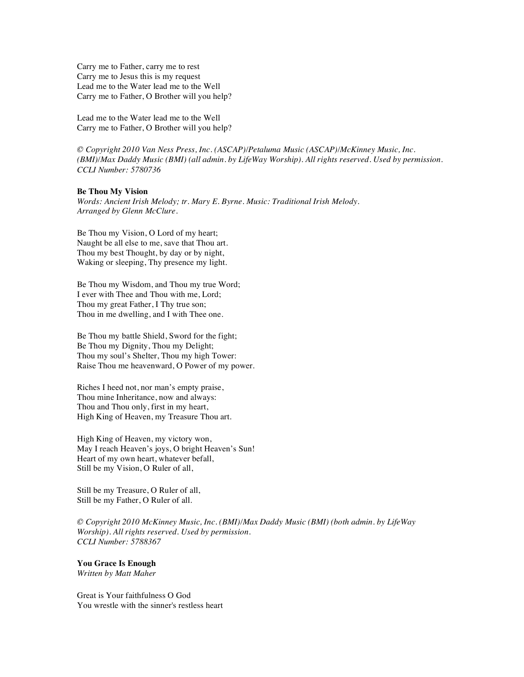Carry me to Father, carry me to rest Carry me to Jesus this is my request Lead me to the Water lead me to the Well Carry me to Father, O Brother will you help?

Lead me to the Water lead me to the Well Carry me to Father, O Brother will you help?

*© Copyright 2010 Van Ness Press, Inc. (ASCAP)/Petaluma Music (ASCAP)/McKinney Music, Inc. (BMI)/Max Daddy Music (BMI) (all admin. by LifeWay Worship). All rights reserved. Used by permission. CCLI Number: 5780736*

#### **Be Thou My Vision**

*Words: Ancient Irish Melody; tr. Mary E. Byrne. Music: Traditional Irish Melody. Arranged by Glenn McClure.*

Be Thou my Vision, O Lord of my heart; Naught be all else to me, save that Thou art. Thou my best Thought, by day or by night, Waking or sleeping, Thy presence my light.

Be Thou my Wisdom, and Thou my true Word; I ever with Thee and Thou with me, Lord; Thou my great Father, I Thy true son; Thou in me dwelling, and I with Thee one.

Be Thou my battle Shield, Sword for the fight; Be Thou my Dignity, Thou my Delight; Thou my soul's Shelter, Thou my high Tower: Raise Thou me heavenward, O Power of my power.

Riches I heed not, nor man's empty praise, Thou mine Inheritance, now and always: Thou and Thou only, first in my heart, High King of Heaven, my Treasure Thou art.

High King of Heaven, my victory won, May I reach Heaven's joys, O bright Heaven's Sun! Heart of my own heart, whatever befall, Still be my Vision, O Ruler of all,

Still be my Treasure, O Ruler of all, Still be my Father, O Ruler of all.

*© Copyright 2010 McKinney Music, Inc. (BMI)/Max Daddy Music (BMI) (both admin. by LifeWay Worship). All rights reserved. Used by permission. CCLI Number: 5788367*

# **You Grace Is Enough**

*Written by Matt Maher*

Great is Your faithfulness O God You wrestle with the sinner's restless heart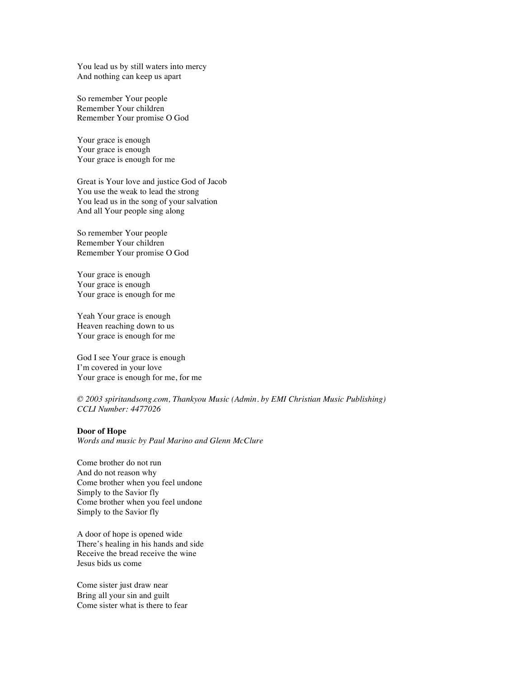You lead us by still waters into mercy And nothing can keep us apart

So remember Your people Remember Your children Remember Your promise O God

Your grace is enough Your grace is enough Your grace is enough for me

Great is Your love and justice God of Jacob You use the weak to lead the strong You lead us in the song of your salvation And all Your people sing along

So remember Your people Remember Your children Remember Your promise O God

Your grace is enough Your grace is enough Your grace is enough for me

Yeah Your grace is enough Heaven reaching down to us Your grace is enough for me

God I see Your grace is enough I'm covered in your love Your grace is enough for me, for me

*© 2003 spiritandsong.com, Thankyou Music (Admin. by EMI Christian Music Publishing) CCLI Number: 4477026*

#### **Door of Hope**

*Words and music by Paul Marino and Glenn McClure*

Come brother do not run And do not reason why Come brother when you feel undone Simply to the Savior fly Come brother when you feel undone Simply to the Savior fly

A door of hope is opened wide There's healing in his hands and side Receive the bread receive the wine Jesus bids us come

Come sister just draw near Bring all your sin and guilt Come sister what is there to fear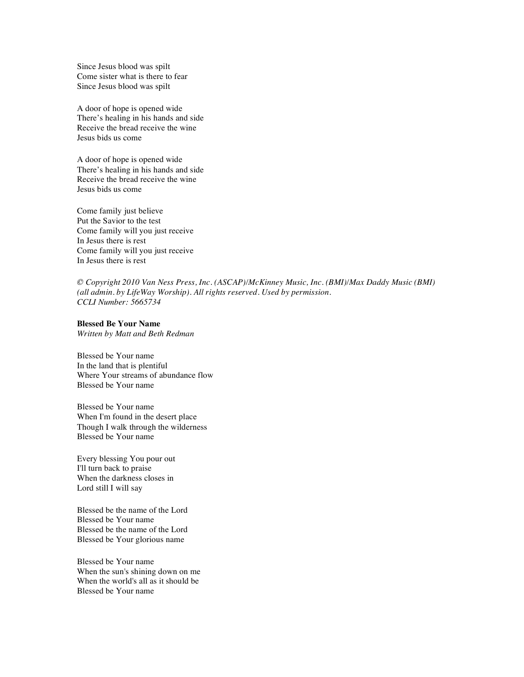Since Jesus blood was spilt Come sister what is there to fear Since Jesus blood was spilt

A door of hope is opened wide There's healing in his hands and side Receive the bread receive the wine Jesus bids us come

A door of hope is opened wide There's healing in his hands and side Receive the bread receive the wine Jesus bids us come

Come family just believe Put the Savior to the test Come family will you just receive In Jesus there is rest Come family will you just receive In Jesus there is rest

*© Copyright 2010 Van Ness Press, Inc. (ASCAP)/McKinney Music, Inc. (BMI)/Max Daddy Music (BMI) (all admin. by LifeWay Worship). All rights reserved. Used by permission. CCLI Number: 5665734*

# **Blessed Be Your Name**

*Written by Matt and Beth Redman*

Blessed be Your name In the land that is plentiful Where Your streams of abundance flow Blessed be Your name

Blessed be Your name When I'm found in the desert place Though I walk through the wilderness Blessed be Your name

Every blessing You pour out I'll turn back to praise When the darkness closes in Lord still I will say

Blessed be the name of the Lord Blessed be Your name Blessed be the name of the Lord Blessed be Your glorious name

Blessed be Your name When the sun's shining down on me When the world's all as it should be Blessed be Your name